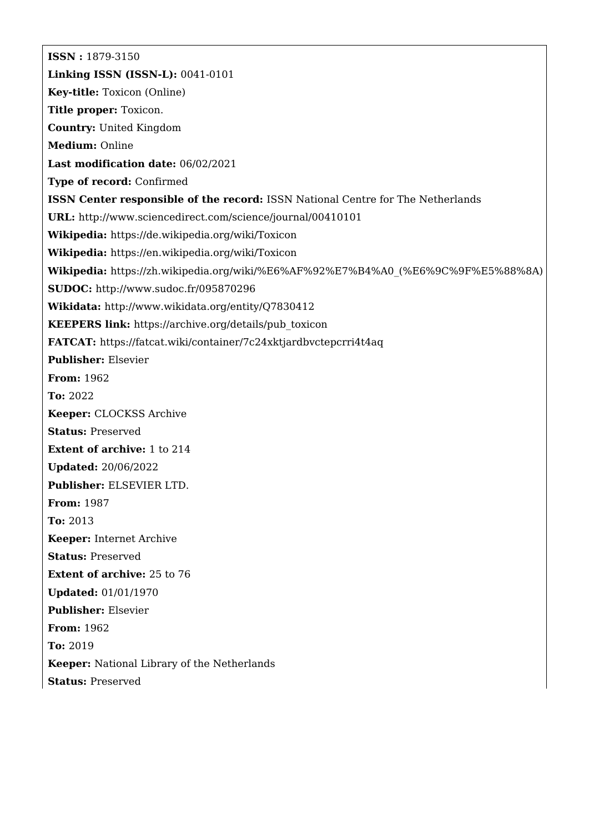**ISSN :** 1879-3150 **Linking ISSN (ISSN-L):** 0041-0101 **Key-title:** Toxicon (Online) **Title proper:** Toxicon. **Country:** United Kingdom **Medium:** Online **Last modification date:** 06/02/2021 **Type of record:** Confirmed **ISSN Center responsible of the record:** ISSN National Centre for The Netherlands **URL:** <http://www.sciencedirect.com/science/journal/00410101> **Wikipedia:** <https://de.wikipedia.org/wiki/Toxicon> **Wikipedia:** <https://en.wikipedia.org/wiki/Toxicon> **Wikipedia:** [https://zh.wikipedia.org/wiki/%E6%AF%92%E7%B4%A0\\_\(%E6%9C%9F%E5%88%8A\)](https://zh.wikipedia.org/wiki/%E6%AF%92%E7%B4%A0_(%E6%9C%9F%E5%88%8A)) **SUDOC:** <http://www.sudoc.fr/095870296> **Wikidata:** <http://www.wikidata.org/entity/Q7830412> **KEEPERS link:** [https://archive.org/details/pub\\_toxicon](https://archive.org/details/pub_toxicon) **FATCAT:** <https://fatcat.wiki/container/7c24xktjardbvctepcrri4t4aq> **Publisher:** Elsevier **From:** 1962 **To:** 2022 **Keeper:** CLOCKSS Archive **Status:** Preserved **Extent of archive:** 1 to 214 **Updated:** 20/06/2022 **Publisher:** ELSEVIER LTD. **From:** 1987 **To:** 2013 **Keeper:** Internet Archive **Status:** Preserved **Extent of archive:** 25 to 76 **Updated:** 01/01/1970 **Publisher:** Elsevier **From:** 1962 **To:** 2019 **Keeper:** National Library of the Netherlands **Status:** Preserved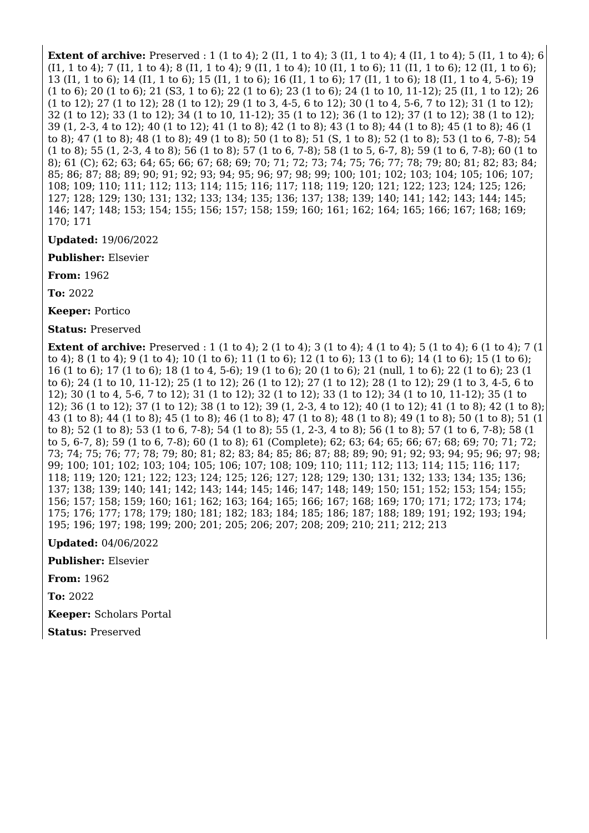**Extent of archive:** Preserved : 1 (1 to 4); 2 (I1, 1 to 4); 3 (I1, 1 to 4); 4 (I1, 1 to 4); 5 (I1, 1 to 4); 6 (I1, 1 to 4); 7 (I1, 1 to 4); 8 (I1, 1 to 4); 9 (I1, 1 to 4); 10 (I1, 1 to 6); 11 (I1, 1 to 6); 12 (I1, 1 to 6); 13 (I1, 1 to 6); 14 (I1, 1 to 6); 15 (I1, 1 to 6); 16 (I1, 1 to 6); 17 (I1, 1 to 6); 18 (I1, 1 to 4, 5-6); 19 (1 to 6); 20 (1 to 6); 21 (S3, 1 to 6); 22 (1 to 6); 23 (1 to 6); 24 (1 to 10, 11-12); 25 (I1, 1 to 12); 26 (1 to 12); 27 (1 to 12); 28 (1 to 12); 29 (1 to 3, 4-5, 6 to 12); 30 (1 to 4, 5-6, 7 to 12); 31 (1 to 12); 32 (1 to 12); 33 (1 to 12); 34 (1 to 10, 11-12); 35 (1 to 12); 36 (1 to 12); 37 (1 to 12); 38 (1 to 12); 39 (1, 2-3, 4 to 12); 40 (1 to 12); 41 (1 to 8); 42 (1 to 8); 43 (1 to 8); 44 (1 to 8); 45 (1 to 8); 46 (1 to 8); 47 (1 to 8); 48 (1 to 8); 49 (1 to 8); 50 (1 to 8); 51 (S, 1 to 8); 52 (1 to 8); 53 (1 to 6, 7-8); 54 (1 to 8); 55 (1, 2-3, 4 to 8); 56 (1 to 8); 57 (1 to 6, 7-8); 58 (1 to 5, 6-7, 8); 59 (1 to 6, 7-8); 60 (1 to 8); 61 (C); 62; 63; 64; 65; 66; 67; 68; 69; 70; 71; 72; 73; 74; 75; 76; 77; 78; 79; 80; 81; 82; 83; 84; 85; 86; 87; 88; 89; 90; 91; 92; 93; 94; 95; 96; 97; 98; 99; 100; 101; 102; 103; 104; 105; 106; 107; 108; 109; 110; 111; 112; 113; 114; 115; 116; 117; 118; 119; 120; 121; 122; 123; 124; 125; 126; 127; 128; 129; 130; 131; 132; 133; 134; 135; 136; 137; 138; 139; 140; 141; 142; 143; 144; 145; 146; 147; 148; 153; 154; 155; 156; 157; 158; 159; 160; 161; 162; 164; 165; 166; 167; 168; 169; 170; 171

**Updated:** 19/06/2022

**Publisher:** Elsevier

**From:** 1962

**To:** 2022

**Keeper:** Portico

**Status:** Preserved

**Extent of archive:** Preserved : 1 (1 to 4); 2 (1 to 4); 3 (1 to 4); 4 (1 to 4); 5 (1 to 4); 6 (1 to 4); 7 (1 to 4); 8 (1 to 4); 9 (1 to 4); 10 (1 to 6); 11 (1 to 6); 12 (1 to 6); 13 (1 to 6); 14 (1 to 6); 15 (1 to 6); 16 (1 to 6); 17 (1 to 6); 18 (1 to 4, 5-6); 19 (1 to 6); 20 (1 to 6); 21 (null, 1 to 6); 22 (1 to 6); 23 (1 to 6); 24 (1 to 10, 11-12); 25 (1 to 12); 26 (1 to 12); 27 (1 to 12); 28 (1 to 12); 29 (1 to 3, 4-5, 6 to 12); 30 (1 to 4, 5-6, 7 to 12); 31 (1 to 12); 32 (1 to 12); 33 (1 to 12); 34 (1 to 10, 11-12); 35 (1 to 12); 36 (1 to 12); 37 (1 to 12); 38 (1 to 12); 39 (1, 2-3, 4 to 12); 40 (1 to 12); 41 (1 to 8); 42 (1 to 8); 43 (1 to 8); 44 (1 to 8); 45 (1 to 8); 46 (1 to 8); 47 (1 to 8); 48 (1 to 8); 49 (1 to 8); 50 (1 to 8); 51 (1 to 8); 52 (1 to 8); 53 (1 to 6, 7-8); 54 (1 to 8); 55 (1, 2-3, 4 to 8); 56 (1 to 8); 57 (1 to 6, 7-8); 58 (1 to 5, 6-7, 8); 59 (1 to 6, 7-8); 60 (1 to 8); 61 (Complete); 62; 63; 64; 65; 66; 67; 68; 69; 70; 71; 72; 73; 74; 75; 76; 77; 78; 79; 80; 81; 82; 83; 84; 85; 86; 87; 88; 89; 90; 91; 92; 93; 94; 95; 96; 97; 98; 99; 100; 101; 102; 103; 104; 105; 106; 107; 108; 109; 110; 111; 112; 113; 114; 115; 116; 117; 118; 119; 120; 121; 122; 123; 124; 125; 126; 127; 128; 129; 130; 131; 132; 133; 134; 135; 136; 137; 138; 139; 140; 141; 142; 143; 144; 145; 146; 147; 148; 149; 150; 151; 152; 153; 154; 155; 156; 157; 158; 159; 160; 161; 162; 163; 164; 165; 166; 167; 168; 169; 170; 171; 172; 173; 174; 175; 176; 177; 178; 179; 180; 181; 182; 183; 184; 185; 186; 187; 188; 189; 191; 192; 193; 194; 195; 196; 197; 198; 199; 200; 201; 205; 206; 207; 208; 209; 210; 211; 212; 213

**Updated:** 04/06/2022

**Publisher:** Elsevier

**From:** 1962

**To:** 2022

**Keeper:** Scholars Portal

**Status:** Preserved